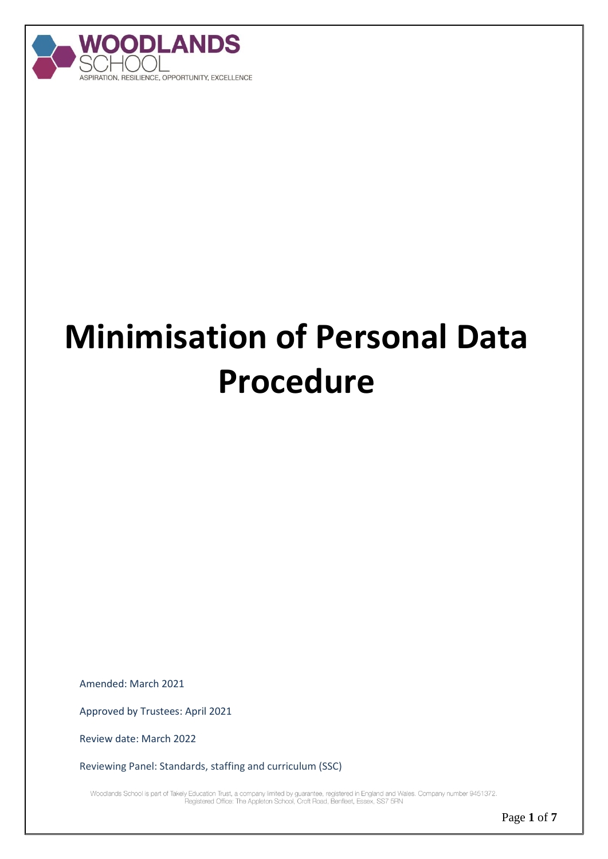

# **Minimisation of Personal Data Procedure**

Amended: March 2021

Approved by Trustees: April 2021

Review date: March 2022

Reviewing Panel: Standards, staffing and curriculum (SSC)

.Woodlands School is part of Takely Education Trust, a company limited by guarantee, registered in England and Wales. Company number 9451372<br>Registered Office: The Appleton School, Croft Road, Benfleet, Essex, SS7 5RN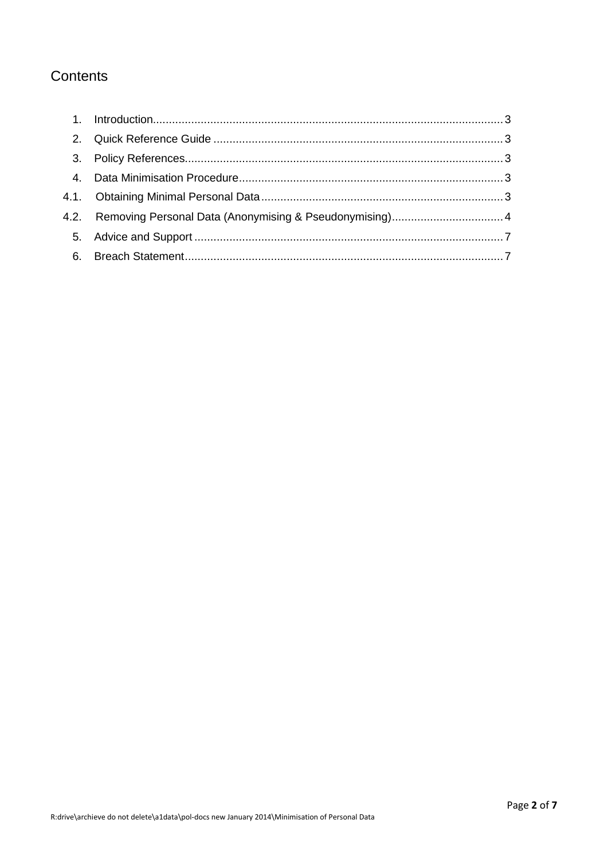### Contents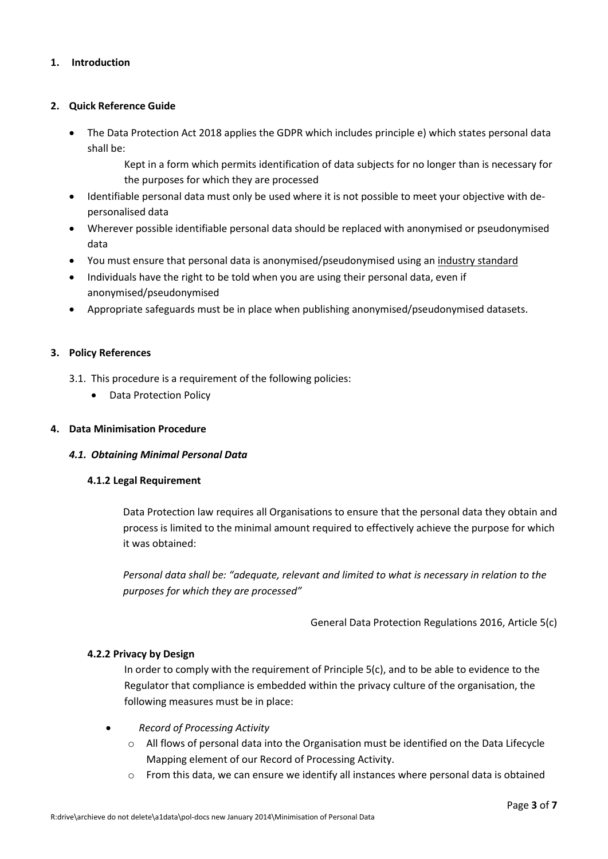#### <span id="page-2-0"></span>**1. Introduction**

#### <span id="page-2-1"></span>**2. Quick Reference Guide**

 The Data Protection Act 2018 applies the GDPR which includes principle e) which states personal data shall be:

> Kept in a form which permits identification of data subjects for no longer than is necessary for the purposes for which they are processed

- Identifiable personal data must only be used where it is not possible to meet your objective with depersonalised data
- Wherever possible identifiable personal data should be replaced with anonymised or pseudonymised data
- You must ensure that personal data is anonymised/pseudonymised using a[n industry standard](#page-4-0)
- Individuals have the right to be told when you are using their personal data, even if anonymised/pseudonymised
- Appropriate safeguards must be in place when publishing anonymised/pseudonymised datasets.

#### <span id="page-2-2"></span>**3. Policy References**

- 3.1. This procedure is a requirement of the following policies:
	- Data Protection Policy

#### <span id="page-2-3"></span>**4. Data Minimisation Procedure**

#### <span id="page-2-4"></span>*4.1. Obtaining Minimal Personal Data*

#### **4.1.2 Legal Requirement**

Data Protection law requires all Organisations to ensure that the personal data they obtain and process is limited to the minimal amount required to effectively achieve the purpose for which it was obtained:

*Personal data shall be: "adequate, relevant and limited to what is necessary in relation to the purposes for which they are processed"*

General Data Protection Regulations 2016, Article 5(c)

#### **4.2.2 Privacy by Design**

In order to comply with the requirement of Principle 5(c), and to be able to evidence to the Regulator that compliance is embedded within the privacy culture of the organisation, the following measures must be in place:

- *Record of Processing Activity*
	- $\circ$  All flows of personal data into the Organisation must be identified on the Data Lifecycle Mapping element of our Record of Processing Activity.
	- $\circ$  From this data, we can ensure we identify all instances where personal data is obtained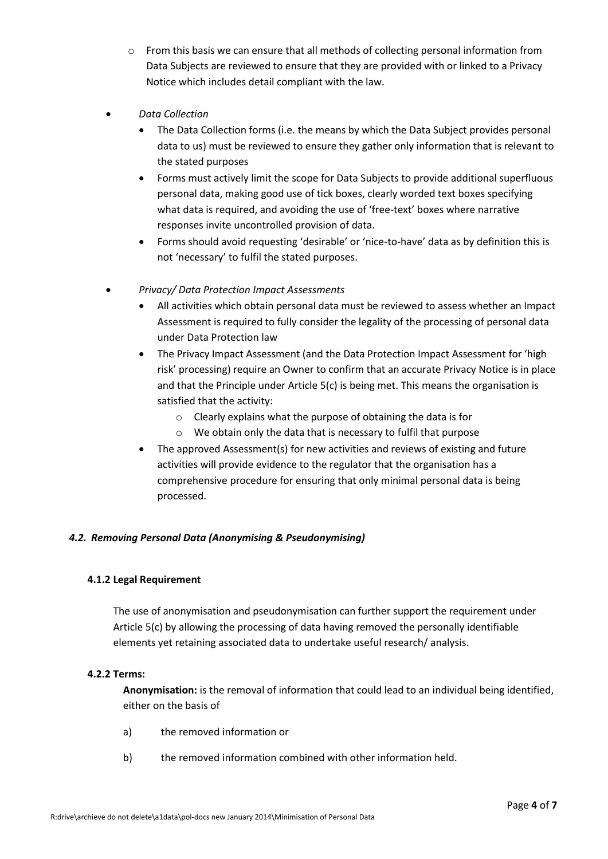- $\circ$  From this basis we can ensure that all methods of collecting personal information from Data Subjects are reviewed to ensure that they are provided with or linked to a Privacy Notice which includes detail compliant with the law.
- *Data Collection*
	- The Data Collection forms (i.e. the means by which the Data Subject provides personal data to us) must be reviewed to ensure they gather only information that is relevant to the stated purposes
	- Forms must actively limit the scope for Data Subjects to provide additional superfluous personal data, making good use of tick boxes, clearly worded text boxes specifying what data is required, and avoiding the use of 'free-text' boxes where narrative responses invite uncontrolled provision of data.
	- Forms should avoid requesting 'desirable' or 'nice-to-have' data as by definition this is not 'necessary' to fulfil the stated purposes.
- *Privacy/ Data Protection Impact Assessments*
	- All activities which obtain personal data must be reviewed to assess whether an Impact Assessment is required to fully consider the legality of the processing of personal data under Data Protection law
	- The Privacy Impact Assessment (and the Data Protection Impact Assessment for 'high risk' processing) require an Owner to confirm that an accurate Privacy Notice is in place and that the Principle under Article 5(c) is being met. This means the organisation is satisfied that the activity:
		- o Clearly explains what the purpose of obtaining the data is for
		- o We obtain only the data that is necessary to fulfil that purpose
	- The approved Assessment(s) for new activities and reviews of existing and future activities will provide evidence to the regulator that the organisation has a comprehensive procedure for ensuring that only minimal personal data is being processed.

#### <span id="page-3-0"></span>*4.2. Removing Personal Data (Anonymising & Pseudonymising)*

#### **4.1.2 Legal Requirement**

The use of anonymisation and pseudonymisation can further support the requirement under Article 5(c) by allowing the processing of data having removed the personally identifiable elements yet retaining associated data to undertake useful research/ analysis.

#### **4.2.2 Terms:**

**Anonymisation:** is the removal of information that could lead to an individual being identified, either on the basis of

- a) the removed information or
- b) the removed information combined with other information held.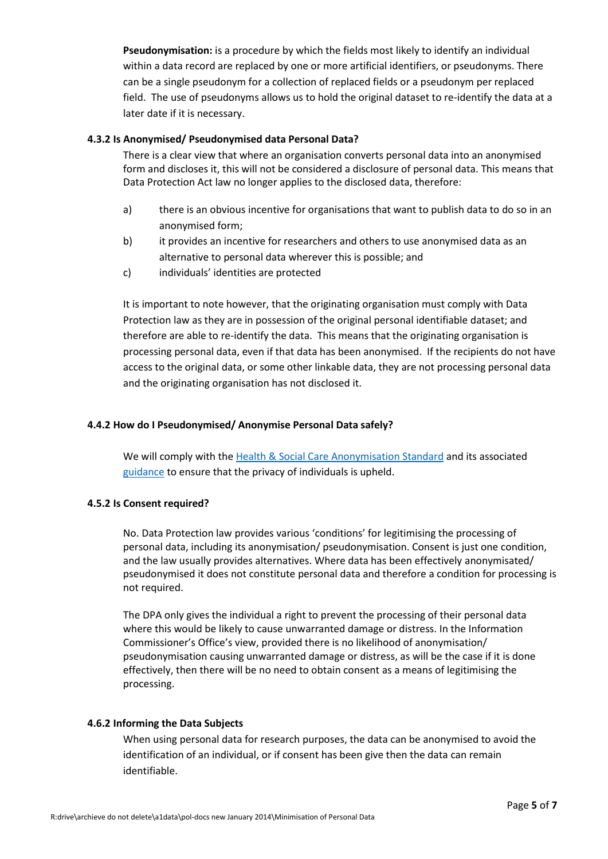**Pseudonymisation:** is a procedure by which the fields most likely to identify an individual within a data record are replaced by one or more artificial identifiers, or pseudonyms. There can be a single pseudonym for a collection of replaced fields or a pseudonym per replaced field. The use of pseudonyms allows us to hold the original dataset to re-identify the data at a later date if it is necessary.

#### **4.3.2 Is Anonymised/ Pseudonymised data Personal Data?**

There is a clear view that where an organisation converts personal data into an anonymised form and discloses it, this will not be considered a disclosure of personal data. This means that Data Protection Act law no longer applies to the disclosed data, therefore:

- a) there is an obvious incentive for organisations that want to publish data to do so in an anonymised form;
- b) it provides an incentive for researchers and others to use anonymised data as an alternative to personal data wherever this is possible; and
- c) individuals' identities are protected

It is important to note however, that the originating organisation must comply with Data Protection law as they are in possession of the original personal identifiable dataset; and therefore are able to re-identify the data. This means that the originating organisation is processing personal data, even if that data has been anonymised. If the recipients do not have access to the original data, or some other linkable data, they are not processing personal data and the originating organisation has not disclosed it.

#### <span id="page-4-0"></span>**4.4.2 How do I Pseudonymised/ Anonymise Personal Data safely?**

We will comply with the [Health & Social Care Anonymisation Standard](https://digital.nhs.uk/data-and-information/information-standards/information-standards-and-data-collections-including-extractions/publications-and-notifications/standards-and-collections/isb1523-anonymisation-standard-for-publishing-health-and-social-care-data) and its associated [guidance](https://digital.nhs.uk/binaries/content/assets/legacy/pdf/b/e/1523202010guid.pdf) to ensure that the privacy of individuals is upheld.

#### **4.5.2 Is Consent required?**

No. Data Protection law provides various 'conditions' for legitimising the processing of personal data, including its anonymisation/ pseudonymisation. Consent is just one condition, and the law usually provides alternatives. Where data has been effectively anonymisated/ pseudonymised it does not constitute personal data and therefore a condition for processing is not required.

The DPA only gives the individual a right to prevent the processing of their personal data where this would be likely to cause unwarranted damage or distress. In the Information Commissioner's Office's view, provided there is no likelihood of anonymisation/ pseudonymisation causing unwarranted damage or distress, as will be the case if it is done effectively, then there will be no need to obtain consent as a means of legitimising the processing.

#### **4.6.2 Informing the Data Subjects**

When using personal data for research purposes, the data can be anonymised to avoid the identification of an individual, or if consent has been give then the data can remain identifiable.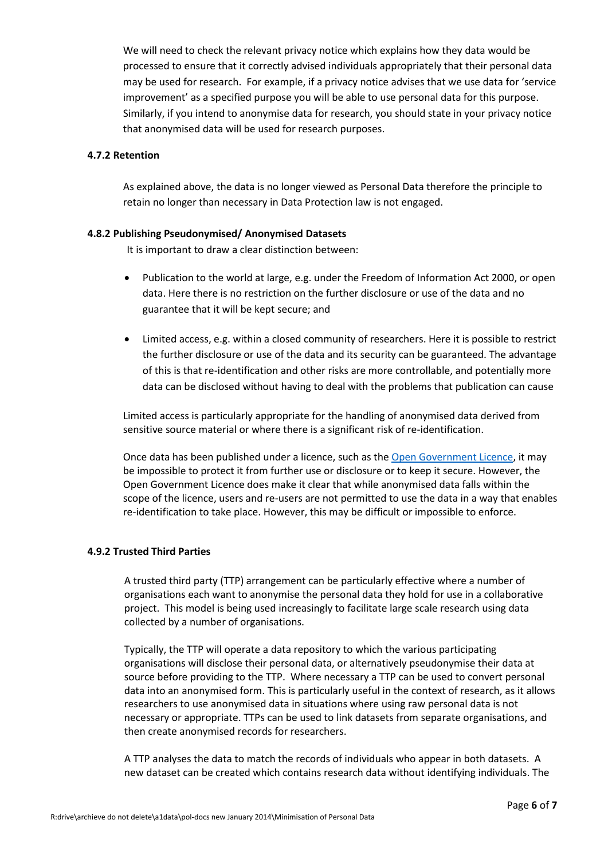We will need to check the relevant privacy notice which explains how they data would be processed to ensure that it correctly advised individuals appropriately that their personal data may be used for research. For example, if a privacy notice advises that we use data for 'service improvement' as a specified purpose you will be able to use personal data for this purpose. Similarly, if you intend to anonymise data for research, you should state in your privacy notice that anonymised data will be used for research purposes.

#### **4.7.2 Retention**

As explained above, the data is no longer viewed as Personal Data therefore the principle to retain no longer than necessary in Data Protection law is not engaged.

#### **4.8.2 Publishing Pseudonymised/ Anonymised Datasets**

It is important to draw a clear distinction between:

- Publication to the world at large, e.g. under the Freedom of Information Act 2000, or open data. Here there is no restriction on the further disclosure or use of the data and no guarantee that it will be kept secure; and
- Limited access, e.g. within a closed community of researchers. Here it is possible to restrict the further disclosure or use of the data and its security can be guaranteed. The advantage of this is that re-identification and other risks are more controllable, and potentially more data can be disclosed without having to deal with the problems that publication can cause

Limited access is particularly appropriate for the handling of anonymised data derived from sensitive source material or where there is a significant risk of re-identification.

Once data has been published under a licence, such as th[e Open Government Licence,](http://www.nationalarchives.gov.uk/doc/open-government-licence/version/2/) it may be impossible to protect it from further use or disclosure or to keep it secure. However, the Open Government Licence does make it clear that while anonymised data falls within the scope of the licence, users and re-users are not permitted to use the data in a way that enables re-identification to take place. However, this may be difficult or impossible to enforce.

#### **4.9.2 Trusted Third Parties**

A trusted third party (TTP) arrangement can be particularly effective where a number of organisations each want to anonymise the personal data they hold for use in a collaborative project. This model is being used increasingly to facilitate large scale research using data collected by a number of organisations.

Typically, the TTP will operate a data repository to which the various participating organisations will disclose their personal data, or alternatively pseudonymise their data at source before providing to the TTP. Where necessary a TTP can be used to convert personal data into an anonymised form. This is particularly useful in the context of research, as it allows researchers to use anonymised data in situations where using raw personal data is not necessary or appropriate. TTPs can be used to link datasets from separate organisations, and then create anonymised records for researchers.

A TTP analyses the data to match the records of individuals who appear in both datasets. A new dataset can be created which contains research data without identifying individuals. The